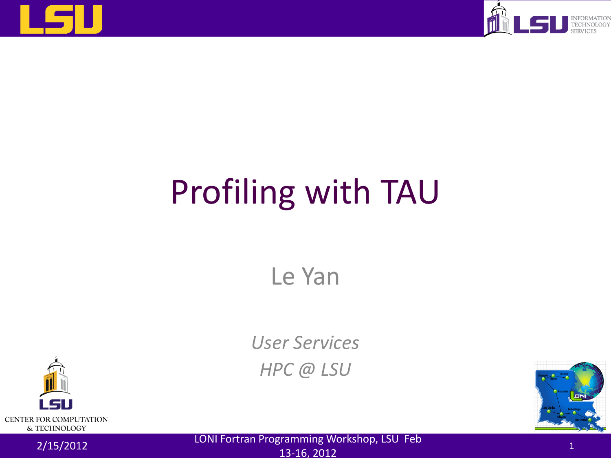



# Profiling with TAU

Le Yan

*User Services HPC @ LSU*





2/15/2012 LONI Fortran Programming Workshop, LSU Feb 13-16, 2012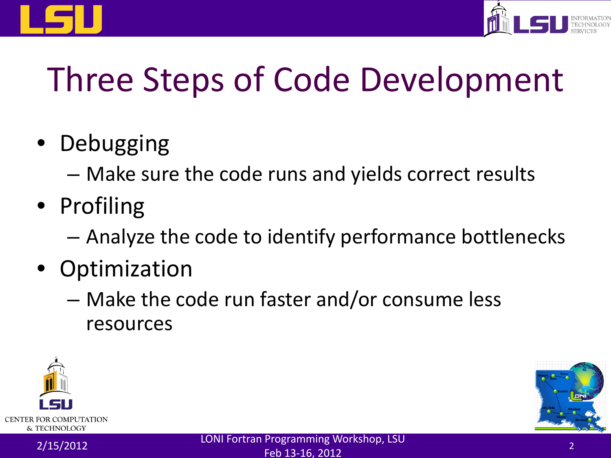



## Three Steps of Code Development

- Debugging
	- Make sure the code runs and yields correct results
- Profiling
	- Analyze the code to identify performance bottlenecks
- Optimization
	- Make the code run faster and/or consume less resources



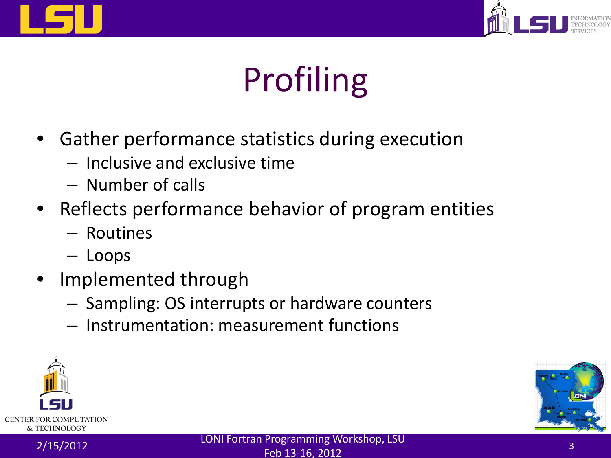



## Profiling

- Gather performance statistics during execution
	- Inclusive and exclusive time
	- Number of calls
- Reflects performance behavior of program entities
	- Routines
	- Loops
- Implemented through
	- Sampling: OS interrupts or hardware counters
	- Instrumentation: measurement functions



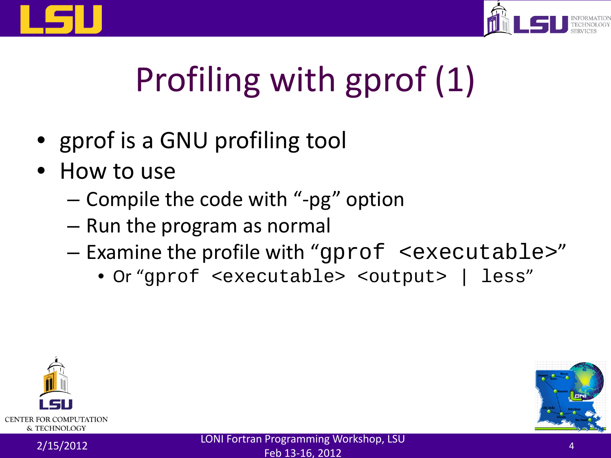



# Profiling with gprof (1)

- gprof is a GNU profiling tool
- How to use
	- Compile the code with "-pg" option
	- Run the program as normal
	- Examine the profile with "gprof <executable>"
		- Or "gprof <executable> <output> | less"



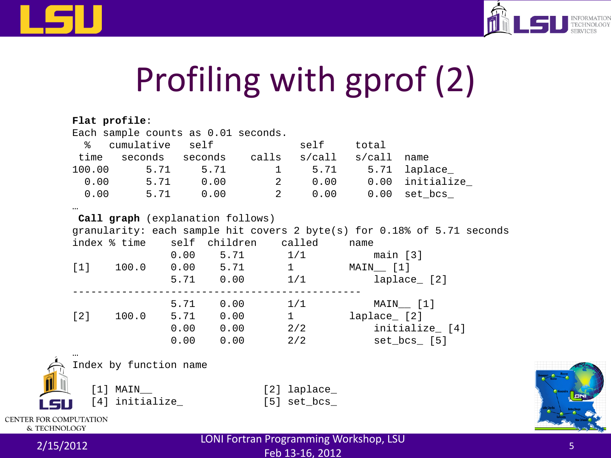



## Profiling with gprof (2)

|                               |                                                                         | Flat profile:                                 |  |                     |  |                            |              |                        |  |  |
|-------------------------------|-------------------------------------------------------------------------|-----------------------------------------------|--|---------------------|--|----------------------------|--------------|------------------------|--|--|
|                               | Each sample counts as 0.01 seconds.                                     |                                               |  |                     |  |                            |              |                        |  |  |
|                               | န္က                                                                     | cumulative self                               |  |                     |  |                            | self total   |                        |  |  |
|                               |                                                                         | time seconds seconds calls s/call s/call name |  |                     |  |                            |              |                        |  |  |
|                               |                                                                         | 100.00 5.71 5.71                              |  |                     |  |                            |              | 1 5.71 5.71 laplace    |  |  |
|                               |                                                                         | $0.00$ 5.71 0.00                              |  |                     |  |                            |              | 2 0.00 0.00 initialize |  |  |
|                               |                                                                         | $0.00$ 5.71 0.00                              |  |                     |  |                            |              | 2 0.00 0.00 set_bcs_   |  |  |
|                               | $\cdots$                                                                |                                               |  |                     |  |                            |              |                        |  |  |
|                               | Call graph (explanation follows)                                        |                                               |  |                     |  |                            |              |                        |  |  |
|                               | granularity: each sample hit covers 2 byte(s) for 0.18% of 5.71 seconds |                                               |  |                     |  |                            |              |                        |  |  |
|                               |                                                                         | index % time self children called             |  |                     |  |                            | name         |                        |  |  |
|                               |                                                                         |                                               |  |                     |  | $0.00$ 5.71 $1/1$ main [3] |              |                        |  |  |
|                               |                                                                         | $[1]$ 100.0 0.00 5.71 1                       |  |                     |  |                            | MAIN [1]     |                        |  |  |
|                               |                                                                         |                                               |  |                     |  | $5.71$ 0.00 $1/1$          |              | laplace_ [2]           |  |  |
|                               |                                                                         |                                               |  | ------------------  |  | 5.71 0.00 1/1              |              | MAIN [1]               |  |  |
|                               |                                                                         | [2] 100.0                                     |  | 5.71   0.00   1     |  |                            | laplace_ [2] |                        |  |  |
|                               |                                                                         |                                               |  | $0.00$ $0.00$ $2/2$ |  |                            |              | initialize_ [4]        |  |  |
|                               |                                                                         |                                               |  | 0.00 0.00           |  | 2/2                        |              | set_bcs_ [5]           |  |  |
|                               |                                                                         |                                               |  |                     |  |                            |              |                        |  |  |
|                               |                                                                         | Index by function name                        |  |                     |  |                            |              |                        |  |  |
|                               |                                                                         |                                               |  |                     |  |                            |              |                        |  |  |
|                               | [1] MAIN                                                                |                                               |  |                     |  | [2] laplace_               |              |                        |  |  |
|                               |                                                                         | [4] initialize_                               |  |                     |  | $[5]$ set $bcs$            |              |                        |  |  |
| <b>CENTER FOR COMPUTATION</b> |                                                                         |                                               |  |                     |  |                            |              |                        |  |  |
| & TECHNOLOGY                  |                                                                         |                                               |  |                     |  |                            |              |                        |  |  |



2/15/2012 LONI Fortran Programming Workshop, LSU  $F$ eb 13-16, 2012  $F$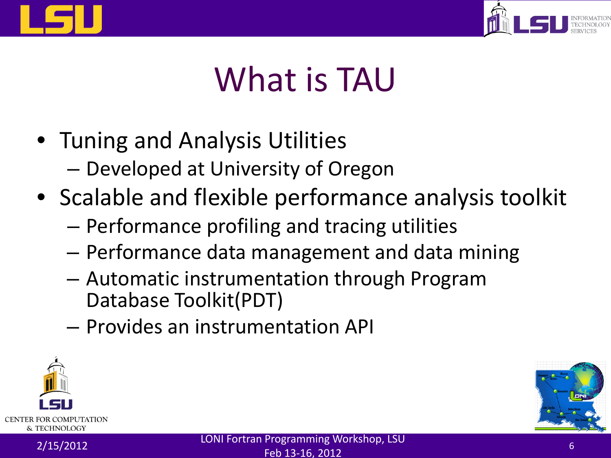



## What is TAU

- Tuning and Analysis Utilities
	- Developed at University of Oregon
- Scalable and flexible performance analysis toolkit
	- Performance profiling and tracing utilities
	- Performance data management and data mining
	- Automatic instrumentation through Program Database Toolkit(PDT)
	- Provides an instrumentation API



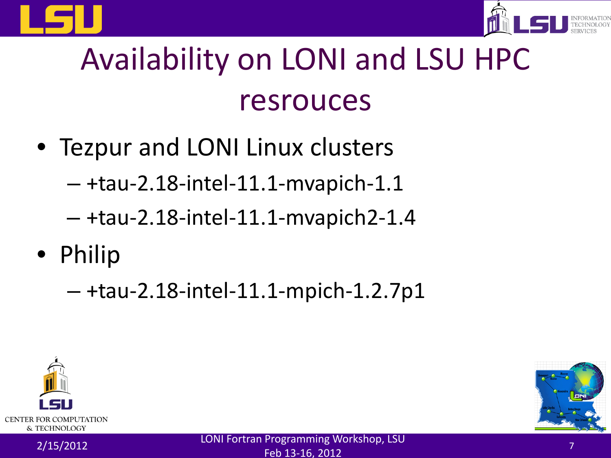



## Availability on LONI and LSU HPC resrouces

• Tezpur and LONI Linux clusters

– +tau-2.18-intel-11.1-mvapich-1.1

- +tau-2.18-intel-11.1-mvapich2-1.4
- Philip

– +tau-2.18-intel-11.1-mpich-1.2.7p1



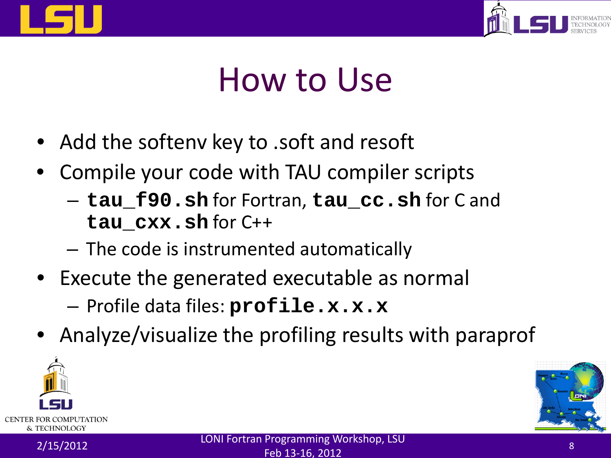



#### How to Use

- Add the softenv key to .soft and resoft
- Compile your code with TAU compiler scripts
	- **tau\_f90.sh** for Fortran, **tau\_cc.sh** for C and **tau\_cxx.sh** for C++
	- The code is instrumented automatically
- Execute the generated executable as normal – Profile data files: **profile.x.x.x**
- Analyze/visualize the profiling results with paraprof





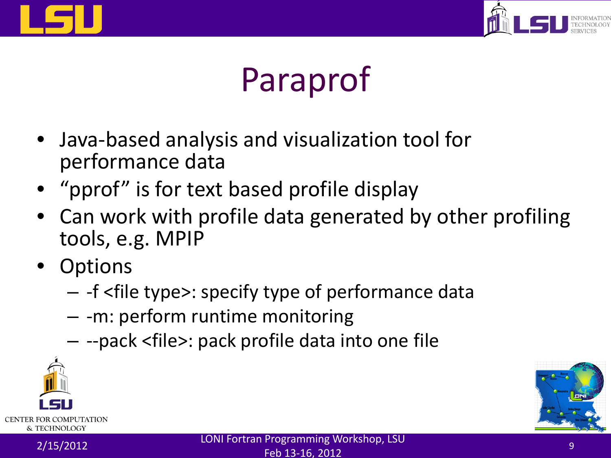



## Paraprof

- Java-based analysis and visualization tool for performance data
- "pprof" is for text based profile display
- Can work with profile data generated by other profiling tools, e.g. MPIP
- Options
	- -f <file type>: specify type of performance data
	- -m: perform runtime monitoring
	- --pack <file>: pack profile data into one file



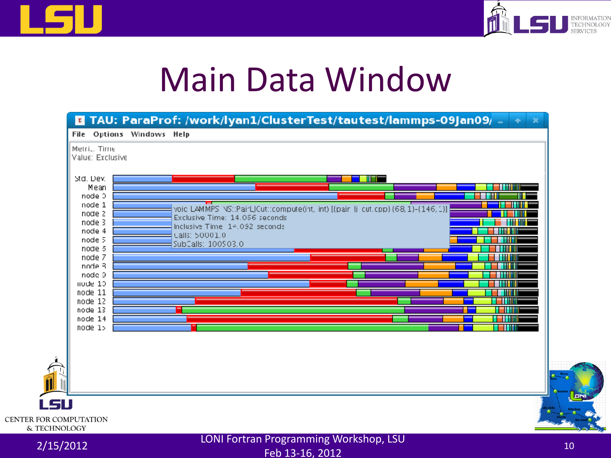



#### Main Data Window

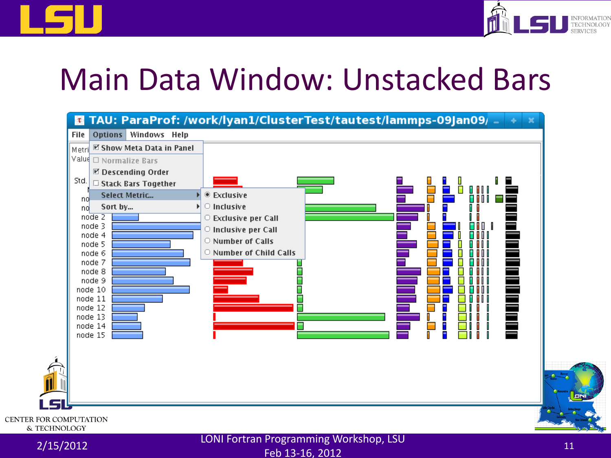



#### Main Data Window: Unstacked Bars



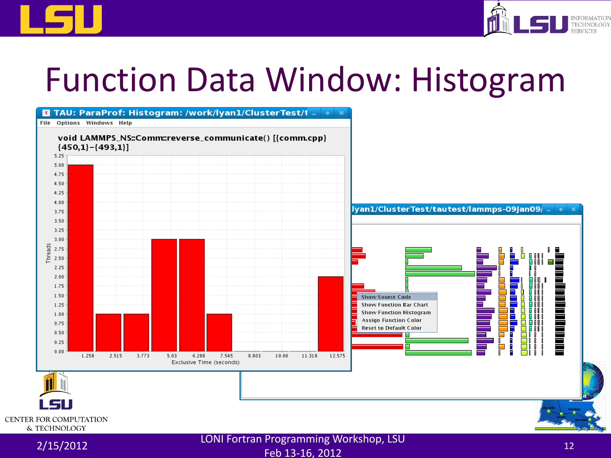



#### Function Data Window: Histogram



Feb 13-16, 2012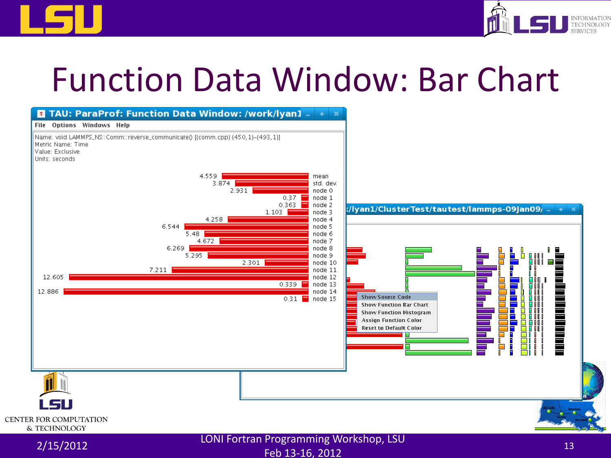



#### Function Data Window: Bar Chart

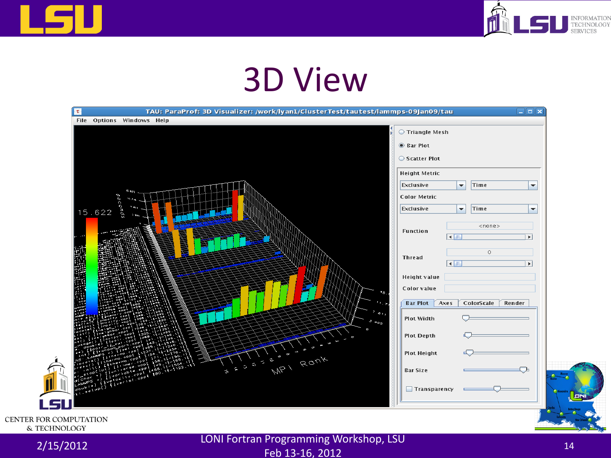



#### 3D View



& TECHNOLOGY

2/15/2012 LONI Fortran Programming Workshop, LSU Feb 13-16, 2012<br>Feb 13-16, 2012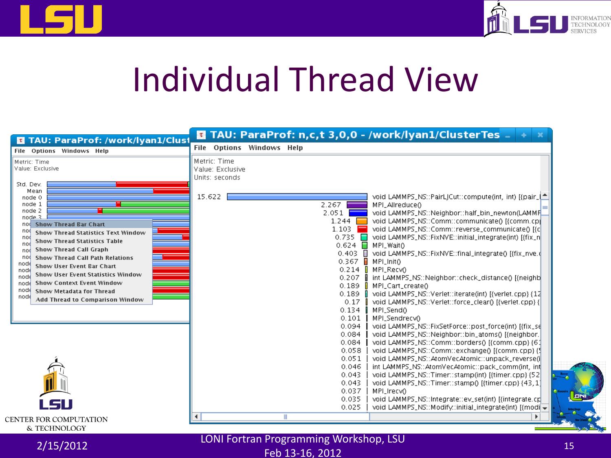



#### Individual Thread View

| TAU: ParaProf: /work/lyan1/Clust<br>$\tau$                                                                                                                                                                                                                                                                                                                                                                                                                                                                                                    | <b>E</b> TAU: ParaProf: n,c,t 3,0,0 - /work/lyan1/ClusterTes _                                                                                                                                                                                                                                                                                                                                                                                                                                                                                                                                                                                                                                                                                                                                                                    |
|-----------------------------------------------------------------------------------------------------------------------------------------------------------------------------------------------------------------------------------------------------------------------------------------------------------------------------------------------------------------------------------------------------------------------------------------------------------------------------------------------------------------------------------------------|-----------------------------------------------------------------------------------------------------------------------------------------------------------------------------------------------------------------------------------------------------------------------------------------------------------------------------------------------------------------------------------------------------------------------------------------------------------------------------------------------------------------------------------------------------------------------------------------------------------------------------------------------------------------------------------------------------------------------------------------------------------------------------------------------------------------------------------|
| File Options Windows Help                                                                                                                                                                                                                                                                                                                                                                                                                                                                                                                     | File Options Windows Help                                                                                                                                                                                                                                                                                                                                                                                                                                                                                                                                                                                                                                                                                                                                                                                                         |
| Metric: Time<br>Value: Exclusive                                                                                                                                                                                                                                                                                                                                                                                                                                                                                                              | Metric: Time<br>Value: Exclusive<br>Units: seconds                                                                                                                                                                                                                                                                                                                                                                                                                                                                                                                                                                                                                                                                                                                                                                                |
| Std. Dev.<br>Mean<br>node 0<br>node 1<br>node 2<br>node 3<br><b>Show Thread Bar Chart</b><br>nod i<br>noq<br><b>Show Thread Statistics Text Window</b><br>nod<br><b>Show Thread Statistics Table</b><br>noo<br><b>Show Thread Call Graph</b><br>nod<br><b>Show Thread Call Path Relations</b><br>nod<br>nod€<br><b>Show User Event Bar Chart</b><br>node<br><b>Show User Event Statistics Window</b><br>nod<br><b>Show Context Event Window</b><br>node<br>node<br><b>Show Metadata for Thread</b><br>nod€<br>Add Thread to Comparison Window | 15.622<br>void LAMMPS_NS::PairL Cut::compute(int, int) [{pair_[^<br>2.267<br>MPI_Allreduce()<br>$2.051$  <br>void LAMMPS_NS::Neighbor::half_bin_newton(LAMMF<br>void LAMMPS_NS::Comm::communicate() [{comm.cp]<br>$1.244$ $\Box$<br>1.103 $\blacksquare$<br>void LAMMPS_NS::Comm::reverse_communicate() [{c]<br>$0.735$ $\Box$<br>void LAMMPS_NS::FixNVE::initial_integrate(int) [{fix_n <br>$0.624$ MPI Waito<br>0.403   void LAMMPS_NS::FixNVE::final_integrate() [{fix_nve.d<br>$0.367$ <b>H</b> MPI_Init()<br>$0.214$ MPI_RecvO<br>0.207   int LAMMPS_NS::Neighbor::check_distance() [{neighb<br>$0.189$ MPI_Cart_create()<br>0.189   void LAMMPS_NS::Verlet::iterate(int) [{verlet.cpp} {12<br>0.17   void LAMMPS_NS::Verlet::force_clear() [{verlet.cpp} {<br>$0.134$ $\parallel$<br>MPI_Send()<br>MPI_Sendrecv0<br>$0.101$ |
| LSU                                                                                                                                                                                                                                                                                                                                                                                                                                                                                                                                           | void LAMMPS_NS::FixSetForce::post_force(int) [{fix_se<br>0.094<br>0.084<br>void LAMMPS_NS::Neighbor::bin_atoms() [{neighbor.<br>void LAMMPS_NS::Comm::borders() {{comm.cpp} {61<br>0.084<br>0.058<br>[3] void LAMMPS_NS::Comm::exchange() [{comm.cpp}<br>0.051<br>void LAMMPS_NS::AtomVecAtomic::unpack_reverse(i)<br>0.046<br>int LAMMPS_NS::AtomVecAtomic::pack_comm(int, int<br>void LAMMPS_NS::Timer::stamp(int) [{timer.cpp} {52<br>0.043<br>0.043<br>void LAMMPS_NS::Timer::stamp() [{timer.cpp} {43, 1]<br>0.037<br>MPI_Irecv0<br>0.035<br>void LAMMPS_NS::Integrate::ev_set(int) [{integrate.cg]<br>0.025<br>void LAMMPS_NS::Modify:initial_integrate(int) [{modi =<br>Ш                                                                                                                                                  |
| <b>CENTER FOR COMPUTATION</b><br>& TECHNOLOGY                                                                                                                                                                                                                                                                                                                                                                                                                                                                                                 |                                                                                                                                                                                                                                                                                                                                                                                                                                                                                                                                                                                                                                                                                                                                                                                                                                   |

2/15/2012 LONI Fortran Programming Workshop, LSU Feb 13-16, 2012<br>Feb 13-16, 2012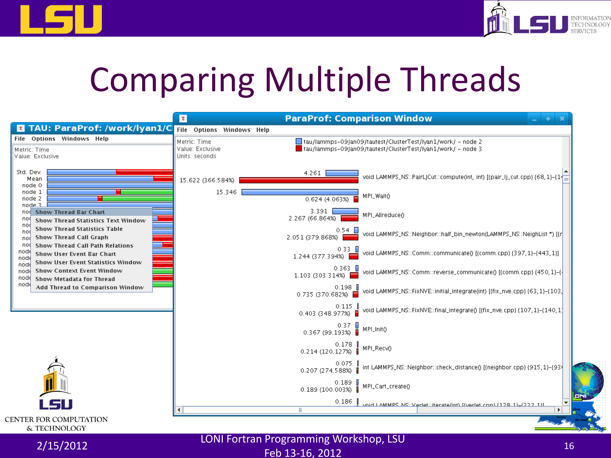



## Comparing Multiple Threads

|                                                                                                                                              | $\tau$                                             | <b>ParaProf: Comparison Window</b>                                                                                           |
|----------------------------------------------------------------------------------------------------------------------------------------------|----------------------------------------------------|------------------------------------------------------------------------------------------------------------------------------|
| <b>E</b> TAU: ParaProf: /work/lyan1/C                                                                                                        | File<br><b>Options Windows Help</b>                |                                                                                                                              |
| File Options Windows Help<br>Metric: Time<br>Value: Exclusive                                                                                | Metric: Time<br>Value: Exclusive<br>Units: seconds | □ tau/lammps=09jan09/tautest/ClusterTest/lyan1/work/ = node 2<br>tau/lammps-09 an09/tautest/ClusterTest/lyan1/work/ - node 3 |
| Std. Dev.<br>Mean<br>node 0                                                                                                                  | 15.622 (366.584%)                                  | 4.261<br>void LAMMPS_NS::PairLJCut::compute(int, int) [{pair_lj_cut.cpp} {68,1}-{14]                                         |
| node 1<br>node 2<br>node 3                                                                                                                   | 15.346                                             | MPI_Wait()<br>0.624 (4.063%)                                                                                                 |
| <b>Show Thread Bar Chart</b><br>nod<br>no<br><b>Show Thread Statistics Text Window</b><br>no                                                 |                                                    | 3.391<br>MPI_Allreduce()<br>2.267 (66.864%)                                                                                  |
| <b>Show Thread Statistics Table</b><br>no<br><b>Show Thread Call Graph</b><br>no                                                             |                                                    | void LAMMPS_NS::Neighbor::half_bin_newton(LAMMPS_NS::NeighList *) [{r]<br>2.051 (379.868%)                                   |
| <b>Show Thread Call Path Relations</b><br>no(<br>node<br><b>Show User Event Bar Chart</b><br>nod<br><b>Show User Event Statistics Window</b> |                                                    | 0.33   <br>void LAMMPS_NS::Comm::communicate() [{comm.cpp} {397, 1}-(443, 1}]<br>1.244 (377.394%)                            |
| nod<br><b>Show Context Event Window</b><br>nod<br>node<br><b>Show Metadata for Thread</b>                                                    |                                                    | $0.363$ $\Box$<br>void LAMMPS_NS::Comm::reverse_communicate() [{comm.cpp} {450, 1}-{<br>1.103 (303.314%)                     |
| node<br>Add Thread to Comparison Window                                                                                                      |                                                    | $0.198$ $\blacksquare$<br>void LAMMPS_NS::FixNVE::initial_integrate(int) [{fix_nve.cpp} {63, 1}-{103}<br>0.735 (370.682%)    |
|                                                                                                                                              |                                                    | 0.115<br>void LAMMPS_NS::FixNVE::final_integrate() [{fix_nve.cpp} {107, 1}-(140, 1]<br>0.403 (348.977%)<br>п                 |
|                                                                                                                                              |                                                    | 0.37<br>0.367 (99.193%)<br>MPI_Init()                                                                                        |
|                                                                                                                                              |                                                    | 0.178 MPI_Recv0<br>0.214 (120.127%) MPI_Recv0                                                                                |
|                                                                                                                                              |                                                    | 0.075<br>int LAMMPS_NS::Neighbor::check_distance() [{neighbor.cpp} {915, 1}-{93}<br>0.207 (274.588%)                         |
|                                                                                                                                              |                                                    | 0.189<br>MPI_Cart_create()<br>0.189 (100.003%)                                                                               |
|                                                                                                                                              |                                                    | 0.186<br>mid LAMMPS NS: Varlet: iterate(int) [/varlet.cnn) / 178-11_(777-11]<br>ш                                            |
| <b>CENTER FOR COMPUTATION</b><br>& TECHNOLOGY                                                                                                |                                                    |                                                                                                                              |



2/15/2012 LONI Fortran Programming Workshop, LSU Feb 13-16, 2012<br>Feb 13-16, 2012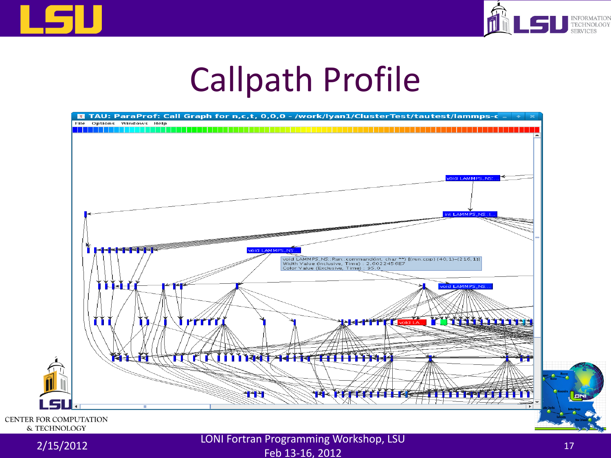



#### Callpath Profile



#### 2/15/2012 LONI Fortran Programming Workshop, LSU  $F$ eb 13-16, 2012 17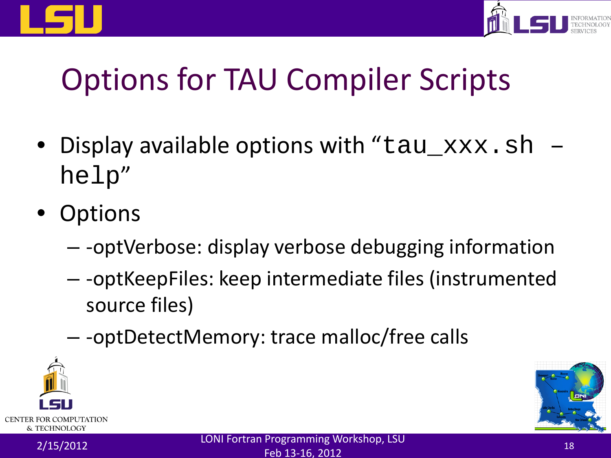



#### Options for TAU Compiler Scripts

- Display available options with "tau\_xxx.sh" help"
- **Options** 
	- -optVerbose: display verbose debugging information
	- -optKeepFiles: keep intermediate files (instrumented source files)
	- -optDetectMemory: trace malloc/free calls



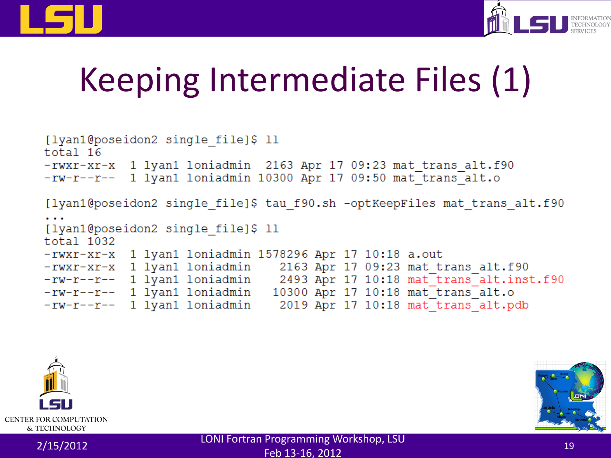



## Keeping Intermediate Files (1)

```
[lyan1@poseidon2 single file]$ 11
total<sub>16</sub>-rwxr-xr-x 1 lyan1 loniadmin 2163 Apr 17 09:23 mat trans alt.f90
-rw-r--r-- 1 lyan1 loniadmin 10300 Apr 17 09:50 mat trans alt.o
[lyan1@poseidon2 single file]$ tau f90.sh -optKeepFiles mat trans alt.f90
[lyan1@poseidon2 single file]$ 11
total 1032
-rwxr-xr-x 1 lyan1 loniadmin 1578296 Apr 17 10:18 a.out
-rwxr-xr-x 1 lyan1 loniadmin 2163 Apr 17 09:23 mat trans alt.f90
-rw-r-r-1 lyan1 loniadmin 2493 Apr 17 10:18 mat_trans_alt.inst.f90
-w-r--r-- 1 lyan1 loniadmin 10300 Apr 17 10:18 mat_trans_alt.o
-rw-r--r-- 1 lyan1 loniadmin
                                2019 Apr 17 10:18 mat trans alt.pdb
```


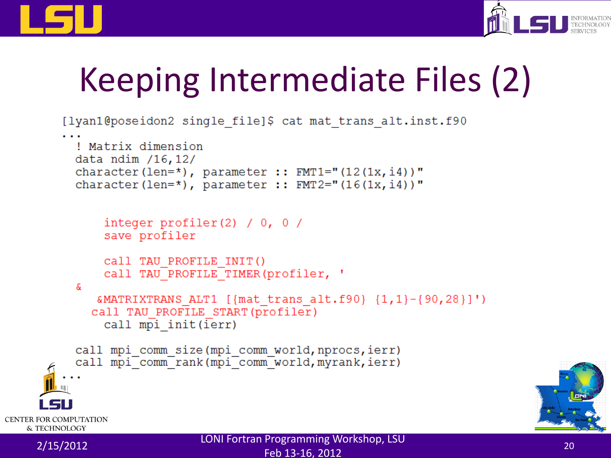



## Keeping Intermediate Files (2)

```
[lyan1@poseidon2 single file]$ cat mat trans alt.inst.f90
          ! Matrix dimension
          data ndim /16,12/
          character (len=*), parameter :: FMT1="(12(1x, i4))"
          character (len=\star), parameter :: FMT2="(16(1x, i4))"
              integer profiler(2) / 0, 0 /
              save profiler
              Call TAU PROFILE INIT()
              call TAU PROFILE TIMER (profiler, '
          æ.
             &MATRIXTRANS ALT1 [{mat trans alt.f90} {1,1}-{90,28}]')
             call TAU PROFILE START (profiler)
              call mpi init(ierr)
          call mpi comm size (mpi comm world, nprocs, ierr)
          call mpi comm rank (mpi comm world, myrank, ierr)
CENTER FOR COMPUTATION
   & TECHNOLOGY
    2/15/2012 LONI Fortran Programming Workshop, LSU
```
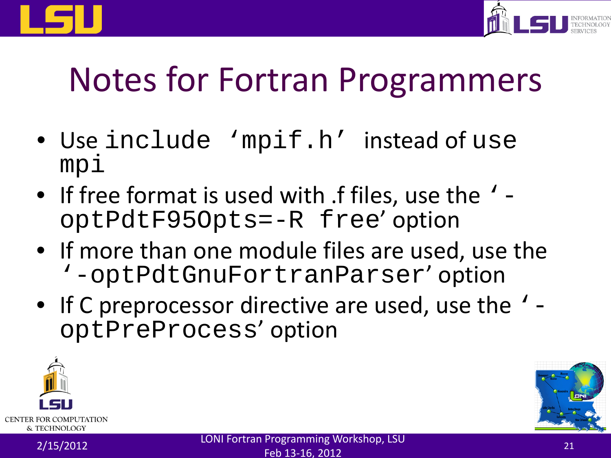



#### Notes for Fortran Programmers

- Use include 'mpif.h' instead of use mpi
- If free format is used with .f files, use the '-<br>optPdtF95Opts=-R free' option
- If more than one module files are used, use the '-optPdtGnuFortranParser' option
- If C preprocessor directive are used, use the '-<br>optPreProcess' option



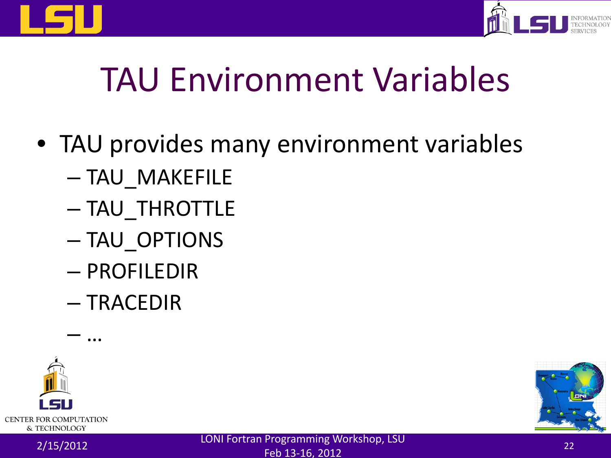



## TAU Environment Variables

- TAU provides many environment variables
	- TAU\_MAKEFILE
	- TAU\_THROTTLE
	- TAU\_OPTIONS
	- PROFILEDIR
	- TRACEDIR





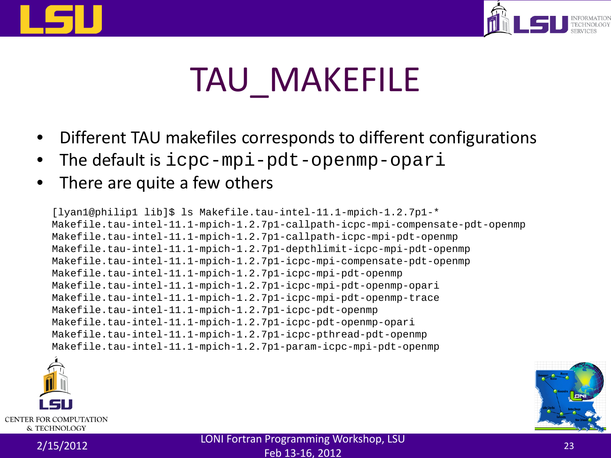



## TAU\_MAKEFILE

- Different TAU makefiles corresponds to different configurations
- The default is icpc-mpi-pdt-openmp-opari
- There are quite a few others

[lyan1@philip1 lib]\$ ls Makefile.tau-intel-11.1-mpich-1.2.7p1-\* Makefile.tau-intel-11.1-mpich-1.2.7p1-callpath-icpc-mpi-compensate-pdt-openmp Makefile.tau-intel-11.1-mpich-1.2.7p1-callpath-icpc-mpi-pdt-openmp Makefile.tau-intel-11.1-mpich-1.2.7p1-depthlimit-icpc-mpi-pdt-openmp Makefile.tau-intel-11.1-mpich-1.2.7p1-icpc-mpi-compensate-pdt-openmp Makefile.tau-intel-11.1-mpich-1.2.7p1-icpc-mpi-pdt-openmp Makefile.tau-intel-11.1-mpich-1.2.7p1-icpc-mpi-pdt-openmp-opari Makefile.tau-intel-11.1-mpich-1.2.7p1-icpc-mpi-pdt-openmp-trace Makefile.tau-intel-11.1-mpich-1.2.7p1-icpc-pdt-openmp Makefile.tau-intel-11.1-mpich-1.2.7p1-icpc-pdt-openmp-opari Makefile.tau-intel-11.1-mpich-1.2.7p1-icpc-pthread-pdt-openmp Makefile.tau-intel-11.1-mpich-1.2.7p1-param-icpc-mpi-pdt-openmp



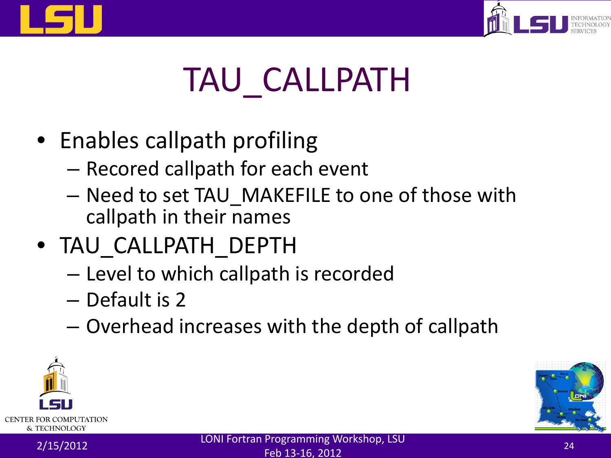



## TAU\_CALLPATH

- Enables callpath profiling
	- Recored callpath for each event
	- Need to set TAU\_MAKEFILE to one of those with callpath in their names
- TAU\_CALLPATH\_DEPTH
	- Level to which callpath is recorded
	- Default is 2
	- Overhead increases with the depth of callpath



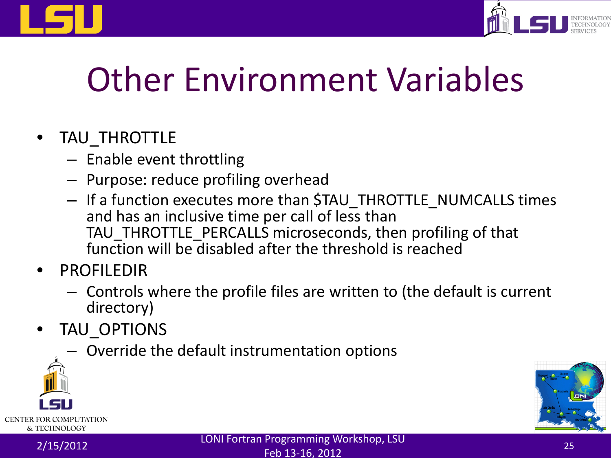



## Other Environment Variables

#### • TAU\_THROTTLE

- Enable event throttling
- Purpose: reduce profiling overhead
- If a function executes more than \$TAU\_THROTTLE\_NUMCALLS times and has an inclusive time per call of less than TAU\_THROTTLE\_PERCALLS microseconds, then profiling of that function will be disabled after the threshold is reached
- **PROFILEDIR** 
	- Controls where the profile files are written to (the default is current directory)
- TAU OPTIONS
	- Override the default instrumentation options



& TECHNOLOGY

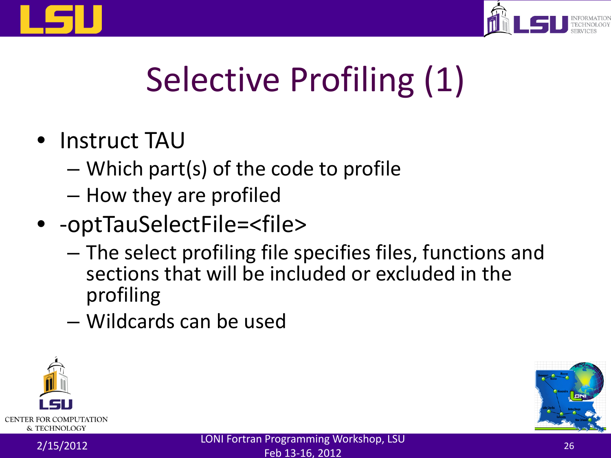



## Selective Profiling (1)

- Instruct TAU
	- Which part(s) of the code to profile
	- How they are profiled
- - optTauSelectFile=<file>
	- The select profiling file specifies files, functions and sections that will be included or excluded in the profiling
	- Wildcards can be used



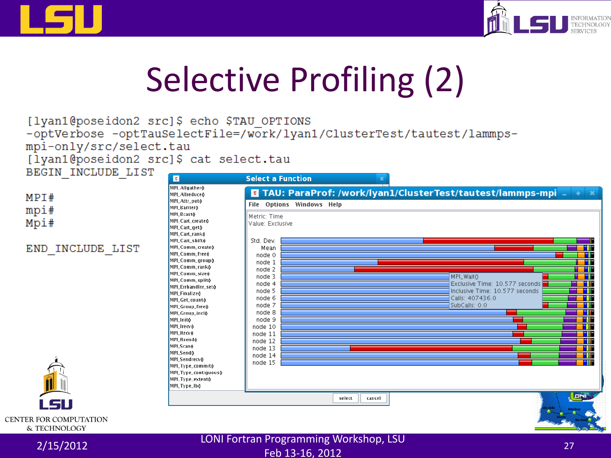



## Selective Profiling (2)

[lyan1@poseidon2 src]\$ echo \$TAU OPTIONS -optVerbose -optTauSelectFile=/work/lyan1/ClusterTest/tautest/lammpsmpi-only/src/select.tau

[lyan1@poseidon2 src]\$ cat select.tau

LIST

BEGIN INCLUDE LIST

| END INCLUDE            |
|------------------------|
|                        |
|                        |
|                        |
|                        |
|                        |
|                        |
|                        |
| <b>Service Service</b> |

MPI#

mpi#

Mpi#

**CENTER FOR COMPUTATION** & TECHNOLOGY

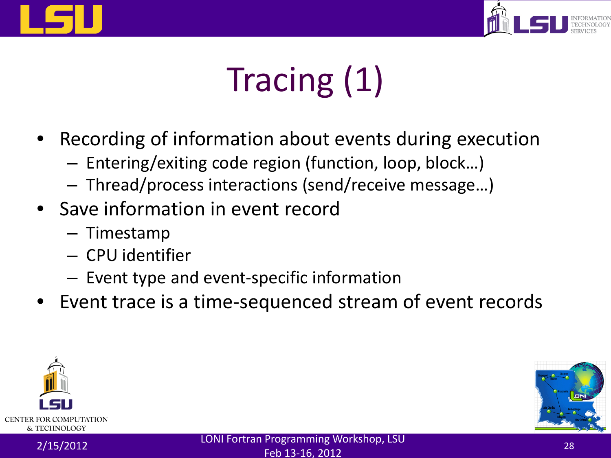



# Tracing (1)

- Recording of information about events during execution
	- Entering/exiting code region (function, loop, block…)
	- Thread/process interactions (send/receive message…)
- Save information in event record
	- Timestamp
	- CPU identifier
	- Event type and event-specific information
- Event trace is a time-sequenced stream of event records



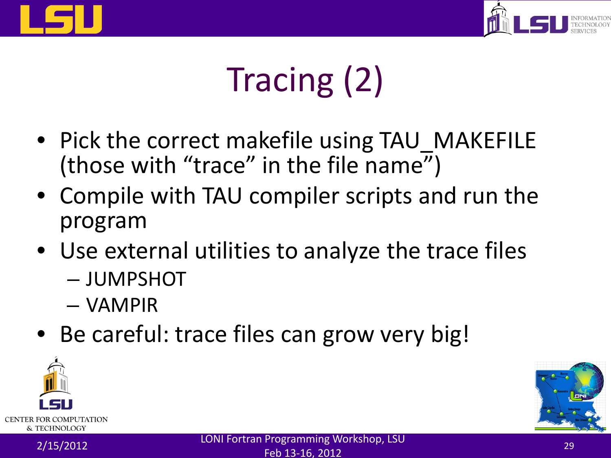



## Tracing (2)

- Pick the correct makefile using TAU\_MAKEFILE (those with "trace" in the file name")
- Compile with TAU compiler scripts and run the program
- Use external utilities to analyze the trace files
	- JUMPSHOT
	- VAMPIR
- Be careful: trace files can grow very big!

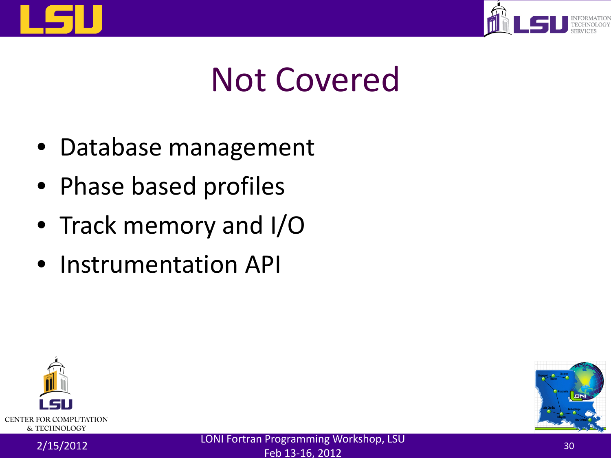



#### Not Covered

- Database management
- Phase based profiles
- Track memory and I/O
- Instrumentation API